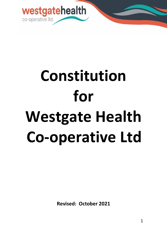

# **Constitution for Westgate Health Co-operative Ltd**

**Revised: October 2021**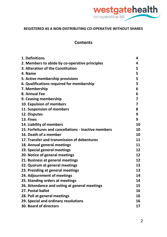

#### **REGISTERED AS A NON-DISTRIBUTING CO-OPERATIVE WITHOUT SHARES**

#### **Contents**

| 1. Definitions                                       | 4  |
|------------------------------------------------------|----|
| 2. Members to abide by co-operative principles       | 4  |
| 3. Alteration of the Constitution                    | 5  |
| 4. Name                                              | 5  |
| 5. Active membership provisions                      | 5  |
| 6. Qualifications required for membership            | 5  |
| 7. Membership                                        | 6  |
| 8. Annual Fee                                        | 6  |
| 9. Ceasing membership                                | 7  |
| 10. Expulsion of members                             | 7  |
| 11. Suspension of members                            | 8  |
| 12. Disputes                                         | 9  |
| 13. Fines                                            | 9  |
| 14. Liability of members                             | 10 |
| 15. Forfeitures and cancellations - Inactive members | 10 |
| 16. Death of a member                                | 10 |
| 17. Transfer and transmission of debentures          | 11 |
| 18. Annual general meetings                          | 11 |
| 19. Special general meetings                         | 12 |
| 20. Notice of general meetings                       | 12 |
| 21. Business at general meetings                     | 12 |
| 22. Quorum at general meetings                       | 13 |
| 23. Presiding at general meetings                    | 13 |
| 24. Adjournment of meetings                          | 14 |
| 25. Standing orders at meetings                      | 14 |
| 26. Attendance and voting at general meetings        | 15 |
| 27. Postal ballot                                    | 16 |
| 28. Poll at general meetings                         | 16 |
| 29. Special and ordinary resolutions                 | 16 |
| <b>30. Board of directors</b>                        | 17 |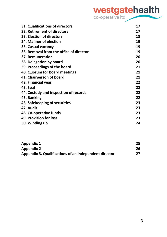# Westgatehealth

| 31. Qualifications of directors         | 17 |
|-----------------------------------------|----|
| 32. Retirement of directors             | 17 |
| 33. Election of directors               | 18 |
| 34. Manner of election                  | 19 |
| 35. Casual vacancy                      | 19 |
| 36. Removal from the office of director | 19 |
| 37. Remuneration                        | 20 |
| 38. Delegation by board                 | 20 |
| 39. Proceedings of the board            | 21 |
| 40. Quorum for board meetings           | 21 |
| 41. Chairperson of board                | 21 |
| 42. Financial year                      | 22 |
| 43. Seal                                | 22 |
| 44. Custody and inspection of records   | 22 |
| 45. Banking                             | 22 |
| 46. Safekeeping of securities           | 23 |
| 47. Audit                               | 23 |
| 48. Co-operative funds                  | 23 |
| 49. Provision for loss                  | 23 |
| 50. Winding up                          | 24 |
|                                         |    |

| Appendix 1                                            | 25 |
|-------------------------------------------------------|----|
| Appendix 2                                            | 26 |
| Appendix 3. Qualifications of an independent director | 27 |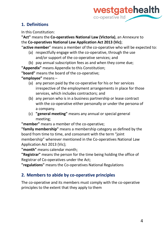

#### **1. Definitions**

In this Constitution:

**"Act"** means the **Co-operatives National Law (Victoria)**, an Annexure to the **Co-operatives National Law Application Act 2013 (Vic)**;

"**active member**" means a member of the co-operative who will be expected to:

- (a) respectfully engage with the co-operative, through the use and/or support of the co-operative services; and
- (b) pay annual subscription fees as and when they come due;

**"Appendix"** means Appendix to this Constitution;

**"board"** means the board of the co-operative;

**"employee"** means –

- (a) any person paid by the co-operative for his or her services irrespective of the employment arrangements in place for those services, which includes contractors; and
- (b) any person who is in a business partnership or lease contract with the co-operative either personally or under the persona of a company.
- (c) **"general meeting"** means any annual or special general meeting;

**"member"** means a member of the co-operative;

**"family membership"** means a membership category as defined by the board from time to time, and consonant with the term "joint membership" wherever mentioned in the Co-operatives National Law Application Act 2013 (Vic);

**"month"** means calendar month;

**"Registrar"** means the person for the time being holding the office of Registrar of Co-operatives under the Act;

**"regulations"** meansthe Co-operatives National Regulations

# **2. Members to abide by co-operative principles**

The co-operative and its members must comply with the co-operative principles to the extent that they apply to them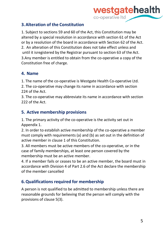

#### **3.Alteration of the Constitution**

1. Subject to sections 59 and 60 of the Act, this Constitution may be altered by a special resolution in accordance with section 61 of the Act or by a resolution of the board in accordance with Section 62 of the Act. 2. An alteration of this Constitution does not take effect unless and until it isregistered by the Registrar pursuant to section 63 of the Act. 3.Any member is entitled to obtain from the co-operative a copy of the Constitution free of charge.

#### **4. Name**

1. The name of the co-operative is Westgate Health Co-operative Ltd.

2. The co-operative may change its name in accordance with section 224 of the Act.

3. The co-operative may abbreviate its name in accordance with section 222 of the Act.

#### **5. Active membership provisions**

1. The primary activity of the co-operative is the activity set out in Appendix 1.

2. In order to establish active membership of the co-operative a member must comply with requirements (a) and (b) as set out in the definition of active member in clause 1 of this Constitution.

3. All members must be active members of the co-operative, or in the case of family memberships, at least one person covered by the membership must be an active member.

4. If a member fails or ceases to be an active member, the board must in accordance with Division 4 of Part 2.6 of the Act declare the membership of the member cancelled

#### **6.Qualifications required for membership**

A person is not qualified to be admitted to membership unless there are reasonable grounds for believing that the person will comply with the provisions of clause 5(3).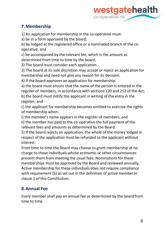

#### **7.Membership**

1) An application for membership in the co-operative must:

a) be in a form approved by the board;

b) be lodged at the registered office or a nominated branch of the cooperative; and

c) be accompanied by the relevant fee, which is the amount as determined from time to time by the board.

2) The board must consider each application.

3) The board at its sole discretion may accept or reject an application for membership and need not give any reason for its decision.

4) If the board approves an application for membership:

a) the board must ensure that the name of the person is entered in the register of members, in accordance with sections 120 and 212 of the Act; b) the board must notify the applicant in writing of the entry in the register; and

c) the applicant for membership becomes entitled to exercise the rights of membership when;

i) the member's name appears in the register of members; and

ii) the member has paid to the co-operative the full payment of the relevant fees and amounts as determined by the Board.

5) If the board rejects an application, the whole of the money lodged in respect of the application must be refunded to the applicant without interest.

From time to time the Board may choose to grant membership at no charge to those individuals whose economic or other circumstances prevent them from meeting the usual fees. Nominations for these memberships must be approved by the Board and reviewed annually. Active membership for these individuals does not require compliance with requirement (b) as set out in the definition of active member in clause 1 of this Constitution.

#### **8.Annual Fee**

Every member shall pay an annual fee as determined by the board from time to time.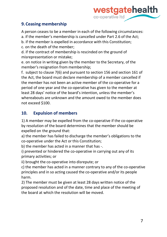

#### **9.Ceasing membership**

A person ceases to be a member in each of the following circumstances:

a. if the member's membership is cancelled under Part 2.6 of the Act;

b. if the member is expelled in accordance with this Constitution;

c. on the death of the member;

d. if the contract of membership is rescinded on the ground of misrepresentation or mistake;

e. on notice in writing given by the member to the Secretary, of the member's resignation from membership;

f. subject to clause 7(6) and pursuant to section 156 and section 161 of the Act, the board must declare membership of a member cancelled if the member has not been an active member of the co-operative for a period of one year and the co-operative has given to the member at least 28 days' notice of the board's intention, unless the member's whereabouts are unknown and the amount owed to the member does not exceed \$100.

# **10. Expulsion of members**

1) A member may be expelled from the co-operative if the co-operative by resolution of the board determines that the member should be expelled on the ground that:

a) the member has failed to discharge the member's obligations to the co-operative under the Act or this Constitution;

b) the member has acted in a manner that has -.

i) prevented or hindered the co-operative in carrying out any of its primary activities; or

ii) brought the co-operative into disrepute; or

c) the member has acted in a manner contrary to any of the co-operative principles and in so acting caused the co-operative and/or its people harm.

2) The member must be given at least 28 days written notice of the proposed resolution and of the date, time and place of the meeting of the board at which the resolution will be moved.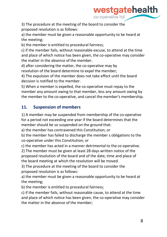

3) The procedure at the meeting of the board to consider the proposed resolution is as follows:

a) the member must be given a reasonable opportunity to be heard at the meeting;

b) the member is entitled to procedural fairness;

c) if the member fails, without reasonable excuse, to attend at the time and place of which notice has been given, the co-operative may consider the matter in the absence of the member.

d) after considering the matter, the co-operative may by resolution of the board determine to expel the member;

4) The expulsion of the member does not take effect until the board decision is notified to the member.

5) When a member is expelled, the co-operative must repay to the member any amount owing to that member, less any amount owing by the member to the co-operative, and cancel the member's membership.

#### **11. Suspension of members**

1) A member may be suspended from membership of the co-operative for a period not exceeding one year if the board determines that the member should be so suspended on the ground that:

a) the member has contravened this Constitution; or

b) the member has failed to discharge the member s obligations to the co-operative under this Constitution; or

c) the member has acted in a manner detrimental to the co-operative.

2) The member must be given at least 28 days written notice of the proposed resolution of the board and of the date, time and place of the board meeting at which the resolution will be moved.

3) The procedure at the meeting of the board to consider the proposed resolution is as follows:

a) the member must be given a reasonable opportunity to be heard at the meeting;

b) the member is entitled to procedural fairness;

c) if the member fails, without reasonable cause, to attend at the time and place of which notice has been given, the co-operative may consider the matter in the absence of the member;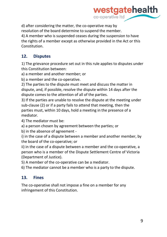

d) after considering the matter, the co-operative may by resolution of the board determine to suspend the member. 4) A member who is suspended ceases during the suspension to have the rights of a member except as otherwise provided in the Act or this Constitution.

#### **12. Disputes**

1) The grievance procedure set out in this rule applies to disputes under this Constitution between:

a) a member and another member; or

b) a member and the co-operative.

2) The parties to the dispute must meet and discuss the matter in dispute, and, if possible, resolve the dispute within 14 days after the dispute comes to the attention of all of the parties.

3) If the parties are unable to resolve the dispute at the meeting under sub-clause (2) or if a party fails to attend that meeting, then the parties must, within 10 days, hold a meeting in the presence of a mediator.

4) The mediator must be:

a) a person chosen by agreement between the parties; or

b) in the absence of agreement -

i) in the case of a dispute between a member and another member, by the board of the co-operative; or

ii) in the case of a dispute between a member and the co-operative, a person who is a member of the Dispute Settlement Centre of Victoria (Department of Justice).

5) A member of the co-operative can be a mediator.

6) The mediator cannot be a member who is a party to the dispute.

#### **13. Fines**

The co-operative shall not impose a fine on a member for any infringement of this Constitution.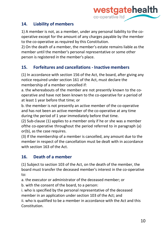

#### **14. Liability of members**

1) A member is not, as a member, under any personal liability to the cooperative except for the amount of any charges payable by the member to the co-operative as required by this Constitution.

2) On the death of a member, the member's estate remains liable as the member until the member's personal representative or some other person is registered in the member's place.

#### **15. Forfeitures and cancellations - Inactive members**

(1) In accordance with section 156 of the Act, the board, after giving any notice required under section 161 of the Act, must declare the membership of a member cancelled if:

a. the whereabouts of the member are not presently known to the cooperative and have not been known to the co-operative for a period of at least 1 year before that time; or

b. the member is not presently an active member of the co-operative and has not been an active member of the co-operative at any time during the period of 1 year immediately before that time.

(2) Sub-clause (1) applies to a member only if he or she was a member ofthe co-operative throughout the period referred to in paragraph (a) or(b), as the case requires.

(3) If the membership of a member is cancelled, any amount due to the member in respect of the cancellation must be dealt with in accordance with section 163 of the Act.

# **16. Death of a member**

(1) Subject to section 103 of the Act, on the death of the member, the board must transfer the deceased member's interest in the co-operative to:

a. the executor or administrator of the deceased member; or

b. with the consent of the board, to a person:

i. who is specified by the personal representative of the deceased member in an application under section 103 of the Act; and

ii. who is qualified to be a member in accordance with the Act and this Constitution.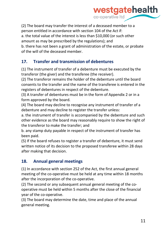

(2) The board may transfer the interest of a deceased member to a person entitled in accordance with section 104 of the Act if: a. the total value of the interest is less than \$10,000 (or such other amount as may be prescribed by the regulations); and b. there has not been a grant of administration of the estate, or probate

of the will of the deceased member.

#### **17. Transfer and transmission of debentures**

(1) The instrument of transfer of a debenture must be executed by the transferor (the giver) and the transferee (the receiver).

(2) The transferor remains the holder of the debenture until the board consents to the transfer and the name of the transferee is entered in the registers of debentures in respect of the debenture.

(3) A transfer of debentures must be in the form of Appendix 2 or in a form approved by the board.

(4) The board may decline to recognise any instrument of transfer of a debenture and may decline to register the transfer unless:

a. the instrument of transfer is accompanied by the debenture and such other evidence as the board may reasonably require to show the right of the transferor to make the transfer; and

b. any stamp duty payable in respect of the instrument of transfer has been paid.

(5) If the board refuses to register a transfer of debenture, it must send written notice of its decision to the proposed transferee within 28 days after making that decision.

#### **18. Annual general meetings**

(1) In accordance with section 252 of the Act, the first annual general meeting of the co-operative must be held at any time within 18 months after the incorporation of the co-operative.

(2) The second or any subsequent annual general meeting of the cooperative must be held within 5 months after the close of the financial year of the co-operative.

(3) The board may determine the date, time and place of the annual general meeting.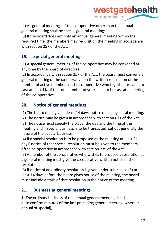

(4) All general meetings of the co-operative other than the annual general meeting shall be special general meetings.

(5) If the board does not hold an annual general meeting within the required time, the members may requisition the meeting in accordance with section 257 of the Act.

#### **19. Special general meetings**

(1) A special general meeting of the co-operative may be convened at any time by the board of directors.

(2) In accordance with section 257 of the Act, the board must convene a general meeting of the co-operative on the written requisition of the number of active members of the co-operative who together are able to cast at least 1% of the total number of votes able to be cast at a meeting of the co-operative.

#### **20. Notice of general meetings**

(1) The board must give at least 14 days' notice of each general meeting.

(2) The notice may be given in accordance with section 611 of the Act.

(3) The notice must specify the place, the day and the time of the meeting and if special business is to be transacted, set out generally the nature of the special business.

(4) If a special resolution is to be proposed at the meeting at least 21 days' notice of that special resolution must be given to the members ofthe co-operative in accordance with section 239 of the Act.

(5) A member of the co-operative who wishes to propose a resolution at a general meeting must give the co-operative written notice of the resolution.

(6) If notice of an ordinary resolution is given under sub-clause (5) at least 14 days before the board gives notice of the meeting, the board must include details of that resolution in the notice of the meeting.

#### **21. Business at general meetings**

1) The ordinary business of the annual general meeting shall be  $$ a) to confirm minutes of the last preceding general meeting (whether annual or special);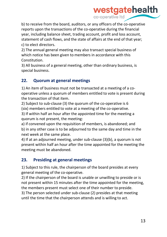

b) to receive from the board, auditors, or any officers of the co-operative reports upon the transactions of the co-operative during the financial year, including balance sheet, trading account, profit and loss account, statement of cash flows, and the state of affairs at the end of that year; c) to elect directors.

2) The annual general meeting may also transact special business of which notice has been given to members in accordance with this Constitution.

3) All business of a general meeting, other than ordinary business, is special business.

#### **22. Quorum at general meetings**

1) An item of business must not be transacted at a meeting of a cooperative unless a quorum of members entitled to vote is present during the transaction of that item.

2) Subject to sub-clause (3) the quorum of the co-operative is 6 (six) members entitled to vote at a meeting of the co-operative.

3) If within half an hour after the appointed time for the meeting a quorum is not present, the meeting:

a) if convened upon the requisition of members, is abandoned; and b) in any other case is to be adjourned to the same day and time in the next week at the same place.

4) If at an adjourned meeting, under sub-clause (3)(b), a quorum is not present within half an hour after the time appointed for the meeting the meeting must be abandoned.

#### **23. Presiding at general meetings**

1) Subject to this rule, the chairperson of the board presides at every general meeting of the co-operative.

2) If the chairperson of the board is unable or unwilling to preside or is not present within 15 minutes after the time appointed for the meeting, the members present must select one of their number to preside.

3) The person selected under sub-clause (2) presides at that meeting until the time that the chairperson attends and is willing to act.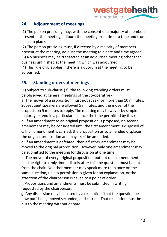

#### **24. Adjournment of meetings**

(1) The person presiding may, with the consent of a majority of members present at the meeting, adjourn the meeting from time to time and from place to place.

(2) The person presiding must, if directed by a majority of members present at the meeting, adjourn the meeting to a date and time agreed. (3) No business may be transacted at an adjourned meeting other than business unfinished at the meeting which was adjourned.

(4) This rule only applies if there is a quorum at the meeting to be adjourned.

# **25. Standing orders at meetings**

(1) Subject to sub-clause (3), the following standing orders must be observed at general meetings of the co-operative -

a. The mover of a proposition must not speak for more than 10 minutes. Subsequent speakers are allowed 5 minutes, and the mover of the proposition 5 minutes to reply. The meeting may however by simple majority extend in a particular instance the time permitted by this rule. b. If an amendment to an original proposition is proposed, no second amendment may be considered until the first amendment is disposed of. c. If an amendment is carried, the proposition as so amended displaces the original proposition and may itself be amended.

d. If an amendment is defeated, then a further amendment may be moved to the original proposition. However, only one amendment may be submitted to the meeting for discussion at one time.

e. The mover of every original proposition, but not of an amendment, has the right to reply. Immediately after this the question must be put from the chair. No other member may speak more than once on the same question, unless permission is given for an explanation, or the attention of the chairperson is called to a point of order.

f. Propositions and amendments must be submitted in writing, if requested by the chairperson.

g. Any discussion may be closed by a resolution "that the question be now put" being moved seconded, and carried. That resolution must be put to the meeting without debate.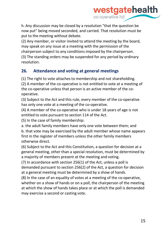

h. Any discussion may be closed by a resolution "that the question be now put" being moved seconded, and carried. That resolution must be put to the meeting without debate.

(2) Any member, or visitor invited to attend the meeting by the board, may speak on any issue at a meeting with the permission of the chairperson subject to any conditions imposed by the chairperson. (3) The standing orders may be suspended for any period by ordinary resolution.

#### **26. Attendance and voting at general meetings**

(1) The right to vote attaches to membership and not shareholding.

(2) A member of the co-operative is not entitled to vote at a meeting of the co-operative unless that person is an active member of the cooperative.

(3) Subject to the Act and this rule, every member of the co-operative has only one vote at a meeting of the co-operative.

(4) A member of the co-operative who is under 18 years of age is not entitled to vote pursuant to section 114 of the Act.

(5) In the case of family membership:

a. the adult family members have only one vote between them; and b. that vote may be exercised by the adult member whose name appears first in the register of members unless the other family members otherwise direct.

(6) Subject to the Act and this Constitution, a question for decision at a general meeting, other than a special resolution, must be determined by a majority of members present at the meeting and voting.

(7) In accordance with section 256(1) of the Act, unless a poll is demanded pursuant to section 256(2) of the Act, a question for decision at a general meeting must be determined by a show of hands.

(8) In the case of an equality of votes at a meeting of the co-operative, whether on a show of hands or on a poll, the chairperson of the meeting at which the show of hands takes place or at which the poll is demanded may exercise a second or casting vote.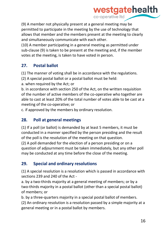

(9) A member not physically present at a general meeting may be permitted to participate in the meeting by the use of technology that allows that member and the members present at the meeting to clearly and simultaneously communicate with each other.

(10) A member participating in a general meeting as permitted under sub-clause (9) is taken to be present at the meeting and, if the member votes at the meeting, is taken to have voted in person.

#### **27. Postal ballot**

(1) The manner of voting shall be in accordance with the regulations.

(2) A special postal ballot or a postal ballot must be held:

a. when required by the Act; or

b. in accordance with section 250 of the Act, on the written requisition of the number of active members of the co-operative who together are able to cast at least 20% of the total number of votes able to be cast at a meeting of the co-operative; or

c. if approved by the members by ordinary resolution.

#### **28. Poll at general meetings**

(1) If a poll (or ballot) is demanded by at least 5 members, it must be conducted in a manner specified by the person presiding and the result of the poll is the resolution of the meeting on that question.

(2) A poll demanded for the election of a person presiding or on a question of adjournment must be taken immediately, but any other poll may be conducted at any time before the close of the meeting.

# **29. Special and ordinary resolutions**

(1) A special resolution is a resolution which is passed in accordance with sections 239 and 240 of the Act -

a. by a two-thirds majority at a general meeting of members; or by a two-thirds majority in a postal ballot (other than a special postal ballot) of members; or

b. by a three-quarters majority in a special postal ballot of members.

(2) An ordinary resolution is a resolution passed by a simple majority at a general meeting or in a postal ballot by members.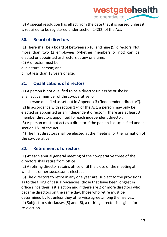

(3) A special resolution has effect from the date that it is passed unless it is required to be registered under section 242(2) of the Act.

#### **30. Board of directors**

(1) There shall be a board of between six (6) and nine (9) directors. Not more than two (2) employees (whether members or not) can be elected or appointed asdirectors at any one time.

- (2) A director must be:
- a. a natural person; and
- b. not less than 18 years of age.

#### **31. Qualifications of directors**

(1) A person is not qualified to be a director unless he or she is:

a. an active member of the co-operative; or

b. a person qualified as set out in Appendix 3 ("independent director").

(2) In accordance with section 174 of the Act, a person may only be elected or appointed as an independent director if there are at least 3 member directors appointed for each independent director.

(3) A person must not act as a director if the person is disqualified under section 181 of the Act.

(4) The first directors shall be elected at the meeting for the formation of the co-operative.

# **32. Retirement of directors**

(1) At each annual general meeting of the co-operative three of the directors shall retire from office.

(2) A retiring director retains office until the close of the meeting at which his or her successor is elected.

(3) The directors to retire in any one year are, subject to the provisions as to the filling of casual vacancies, those that have been longest in office since their last election and if there are 2 or more directors who became directors on the same day, those who retire must be determined by lot unless they otherwise agree among themselves. (4) Subject to sub-clauses (5) and (6), a retiring director is eligible for re-election.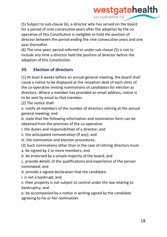

(5) Subject to sub-clause (6), a director who has served on the board for a period of nine consecutive years after the adoption by the cooperative of this Constitution is ineligible to hold the position of director between the period ending the nine consecutive years and one year thereafter.

(6) The nine years period referred to under sub-clause (5) is not to include any time a director held the position of director before the adoption of this Constitution.

#### **33. Election of directors**

(1) At least 6 weeks before an annual general meeting, the board shall cause a notice to be displayed at the reception desk of each clinic of the co-operative inviting nominations of candidates for election as directors. Where a member has provided an email address, notice is to be sent by email to that member.

(2) The notice shall:

a. notify all members of the number of directors retiring at the annual general meeting; and

b. state that the following information and nomination form can be obtained from the premises of the co-operative:

i. the duties and responsibilities of a director; and

ii. the anticipated remuneration (if any); and

iii. the nomination and election procedures.

(3) Such nominations other than in the case of retiring directors must:

a. be signed by 2 or more members; and

b. be endorsed by a simple majority of the board; and

c. provide details of the qualifications and experience of the person nominated; and

d. provide a signed declaration that the candidate:

i. is not a bankrupt; and

ii. their property is not subject to control under the law relating to bankruptcy; and

e. be accompanied by a notice in writing signed by the candidate agreeing to his or her nomination.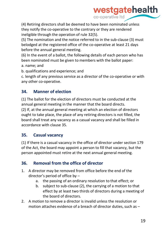

(4) Retiring directors shall be deemed to have been nominated unless they notify the co-operative to the contrary or they are rendered ineligible through the operation of rule 32(5).

(5) The nomination and the notice referred to in the sub-clause (3) must belodged at the registered office of the co-operative at least 21 days before the annual general meeting.

(6) In the event of a ballot, the following details of each person who has been nominated must be given to members with the ballot paper:

a. name; and

b. qualifications and experience; and

c. length of any previous service as a director of the co-operative or with any other co-operative.

#### **34. Manner of election**

(1) The ballot for the election of directors must be conducted at the annual general meeting in the manner that the board directs. (2) If, at the annual general meeting at which an election of directors ought to take place, the place of any retiring directors is not filled, the board shall treat any vacancy as a casual vacancy and shall be filled in accordance with clause 35.

#### **35. Casual vacancy**

(1) If there is a casual vacancy in the office of director under section 179 of the Act, the board may appoint a person to fill that vacancy, but the person appointed must retire at the next annual general meeting.

#### **36. Removal from the office of director**

- 1. A director may be removed from office before the end of the director's period of office by –
	- a. the passing of an ordinary resolution to that effect; or
	- b. subject to sub-clause (2), the carrying of a motion to that effect by at least two thirds of directors during a meeting of the board of directors.
- 2. A motion to remove a director is invalid unless the resolution or motion attaches evidence of a breach of director duties, such as  $-$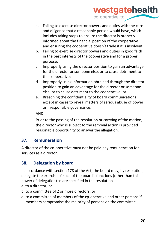# westgatehealth co-operative Itd

- a. Failing to exercise director powers and duties with the care and diligence that a reasonable person would have, which includes taking steps to ensure the director is properly informed about the financial position of the cooperative and ensuring the cooperative doesn't trade if it is insolvent;
- b. Failing to exercise director powers and duties in good faith in the best interests of the cooperative and for a proper purpose;
- c. Improperly using the director position to gain an advantage for the director or someone else, or to cause detriment to the cooperative;
- d. Improperly using information obtained through the director position to gain an advantage for the director or someone else, or to cause detriment to the cooperative; or
- e. Breaching the confidentiality of board communications except in cases to reveal matters of serious abuse of power or irresponsible governance;

#### AND

Prior to the passing of the resolution or carrying of the motion, the director who is subject to the removal action is provided reasonable opportunity to answer the allegation.

#### **37. Remuneration**

A director of the co-operative must not be paid any remuneration for services as a director.

#### **38. Delegation by board**

In accordance with section 178 of the Act, the board may, by resolution, delegate the exercise of such of the board's functions (other than this power of delegation) as are specified in the resolution-

- a. to a director; or
- b. to a committee of 2 or more directors; or
- c. to a committee of members of the cp-operative and other persons if members compromise the majority of persons on the committee.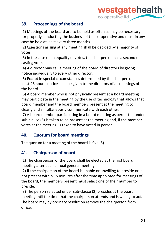

#### **39. Proceedings of the board**

(1) Meetings of the board are to be held as often as may be necessary for properly conducting the business of the co-operative and must in any case be held at least every three months.

(2) Questions arising at any meeting shall be decided by a majority of votes.

(3) In the case of an equality of votes, the chairperson has a second or casting vote.

(4) A director may call a meeting of the board of directors by giving notice individually to every other director.

(5) Except in special circumstances determined by the chairperson, at least 48 hours' notice shall be given to the directors of all meetings of the board.

(6) A board member who is not physically present at a board meeting may participate in the meeting by the use of technology that allows that board member and the board members present at the meeting to clearly and simultaneously communicate with each other.

(7) A board member participating in a board meeting as permitted under sub-clause (6) is taken to be present at the meeting and, if the member votes at the meeting, is taken to have voted in person.

#### **40. Quorum for board meetings**

The quorum for a meeting of the board is five (5).

#### **41. Chairperson of board**

(1) The chairperson of the board shall be elected at the first board meeting after each annual general meeting.

(2) If the chairperson of the board is unable or unwilling to preside or is not present within 15 minutes after the time appointed for meetings of the board, the members present must select one of their number to preside.

(3) The person selected under sub-clause (2) presides at the board meetinguntil the time that the chairperson attends and is willing to act. The board may by ordinary resolution remove the chairperson from office.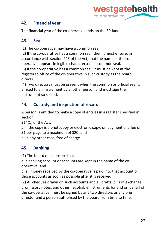

#### **42. Financial year**

The financial year of the co-operative ends on the 30 June.

#### **43. Seal**

(1) The co-operative may have a common seal.

(2) If the co-operative has a common seal, then it must ensure, in accordance with section 223 of the Act, that the name of the cooperative appears in legible characterson its common seal.

(3) If the co-operative has a common seal, it must be kept at the registered office of the co-operative in such custody as the board directs.

(4) Two directors must be present when the common or official seal is affixed to an instrument by another person and must sign the instrument so sealed.

# **44. Custody and inspection of records**

A person is entitled to make a copy of entries in a register specified in section

214(1) of the Act:

a. if the copy is a photocopy or electronic copy, on payment of a fee of \$1 per page to a maximum of \$20; and

b. in any other case, free of charge.

# **45. Banking**

(1) The board must ensure that -

a. a banking account or accounts are kept in the name of the cooperative; and

b. all money received by the co-operative is paid into that account or those accounts as soon as possible after it is received.

(2) All cheques drawn on such accounts and all drafts, bills of exchange, promissory notes, and other negotiable instruments for and on behalf of the co-operative, must be signed by any two directors or any one director and a person authorised by the board from time to time.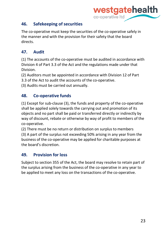

#### **46. Safekeeping of securities**

The co-operative must keep the securities of the co-operative safely in the manner and with the provision for their safety that the board directs.

#### **47. Audit**

(1) The accounts of the co-operative must be audited in accordance with Division 4 of Part 3.3 of the Act and the regulations made under that Division.

(2) Auditors must be appointed in accordance with Division 12 of Part

3.3 of the Act to audit the accounts of the co-operative.

(3) Audits must be carried out annually.

#### **48. Co-operative funds**

(1) Except for sub-clause (3), the funds and property of the co-operative shall be applied solely towards the carrying out and promotion of its objects and no part shall be paid or transferred directly or indirectly by way of discount, rebate or otherwise by way of profit to members of the co-operative.

(2) There must be no return or distribution on surplus to members (3) A part of the surplus not exceeding 50% arising in any year from the business of the co-operative may be applied for charitable purposes at the board's discretion.

# **49. Provision for loss**

Subject to section 355 of the Act, the board may resolve to retain part of the surplus arising from the business of the co-operative in any year to be applied to meet any loss on the transactions of the co-operative.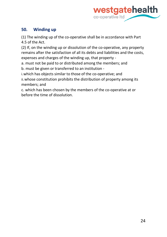

#### **50. Winding up**

(1) The winding up of the co-operative shall be in accordance with Part 4.5 of the Act.

(2) If, on the winding up or dissolution of the co-operative, any property remains after the satisfaction of all its debts and liabilities and the costs, expenses and charges of the winding up, that property -

a. must not be paid to or distributed among the members; and

b. must be given or transferred to an institution -

i.which has objects similar to those of the co-operative; and

ii.whose constitution prohibits the distribution of property among its members; and

c. which has been chosen by the members of the co-operative at or before the time of dissolution.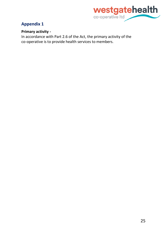

#### **Appendix 1**

#### **Primary activity -**

In accordance with Part 2.6 of the Act, the primary activity of the co-operative is to provide health services to members.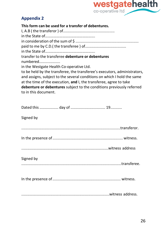

# **Appendix 2**

| This form can be used for a transfer of debentures.                                                                                                                                                                                                                                                                         |
|-----------------------------------------------------------------------------------------------------------------------------------------------------------------------------------------------------------------------------------------------------------------------------------------------------------------------------|
|                                                                                                                                                                                                                                                                                                                             |
|                                                                                                                                                                                                                                                                                                                             |
|                                                                                                                                                                                                                                                                                                                             |
|                                                                                                                                                                                                                                                                                                                             |
| transfer to the transferee debenture or debentures<br>numbered                                                                                                                                                                                                                                                              |
| in the Westgate Health Co-operative Ltd.                                                                                                                                                                                                                                                                                    |
| to be held by the transferee, the transferee's executors, administrators,<br>and assigns, subject to the several conditions on which I hold the same<br>at the time of the execution, and I, the transferee, agree to take<br>debenture or debentures subject to the conditions previously referred<br>to in this document. |

| Signed by |
|-----------|
|           |
|           |
|           |
| Signed by |
|           |
|           |
|           |